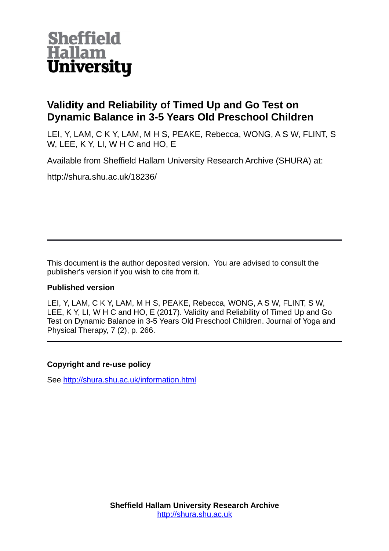

# **Validity and Reliability of Timed Up and Go Test on Dynamic Balance in 3-5 Years Old Preschool Children**

LEI, Y, LAM, C K Y, LAM, M H S, PEAKE, Rebecca, WONG, A S W, FLINT, S W, LEE, K Y, LI, W H C and HO, E

Available from Sheffield Hallam University Research Archive (SHURA) at:

http://shura.shu.ac.uk/18236/

This document is the author deposited version. You are advised to consult the publisher's version if you wish to cite from it.

# **Published version**

LEI, Y, LAM, C K Y, LAM, M H S, PEAKE, Rebecca, WONG, A S W, FLINT, S W, LEE, K Y, LI, W H C and HO, E (2017). Validity and Reliability of Timed Up and Go Test on Dynamic Balance in 3-5 Years Old Preschool Children. Journal of Yoga and Physical Therapy, 7 (2), p. 266.

# **Copyright and re-use policy**

See<http://shura.shu.ac.uk/information.html>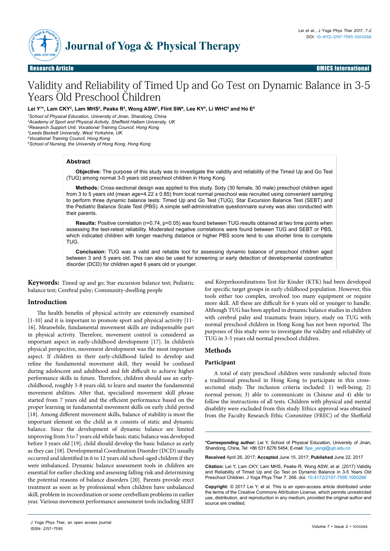

Research Article Open Access Research Article OMICS International

# Validity and Reliability of Timed Up and Go Test on Dynamic Balance in 3-5 Years Old Preschool Children

Lei Y'\*, Lam CKY<sup>2</sup>, Lam MHS<sup>2</sup>, Peake R<sup>2</sup>, Wong ASW<sup>3</sup>, Flint SW<del>'</del>, Lee KY<sup>s</sup>, Li WHC<sup>s</sup> and Ho E<sup>e</sup>

 *School of Physical Education, University of Jinan, Shandong, China Academy of Sport and Physical Activity, Sheffield Hallam University, UK Research Support Unit, Vocational Training Council, Hong Kong Leeds Beckett University, West Yorkshire, UK*

*<sup>5</sup>Vocational Training Council, Hong Kong*

*6 School of Nursing, the University of Hong Kong, Hong Kong*

# **Abstract**

**Objective:** The purpose of this study was to investigate the validity and reliability of the Timed Up and Go Test (TUG) among normal 3-5 years old preschool children in Hong Kong.

**Methods:** Cross-sectional design was applied to this study. Sixty (30 female, 30 male) preschool children aged from 3 to 5 years old (mean age=4.22 ± 0.85) from local normal preschool was recruited using convenient sampling to perform three dynamic balance tests: Timed Up and Go Test (TUG), Star Excursion Balance Test (SEBT) and the Pediatric Balance Scale Test (PBS). A simple self-administrative questionnaire survey was also conducted with their parents.

**Results:** Positive correlation (r=0.74, p<0.05) was found between TUG results obtained at two time points when assessing the test-retest reliability. Moderated negative correlations were found between TUG and SEBT or PBS, which indicated children with longer reaching distance or higher PBS score tend to use shorter time to complete TUG.

**Conclusion:** TUG was a valid and reliable tool for assessing dynamic balance of preschool children aged between 3 and 5 years old. This can also be used for screening or early detection of developmental coordination disorder (DCD) for children aged 6 years old or younger.

**Keywords:** Timed up and go; Star excursion balance test; Pediatric balance test; Cerebral palsy; Community-dwelling people

## **Introduction**

The health benefits of physical activity are extensively examined [1-10] and it is important to promote sport and physical activity [11- 16]. Meanwhile, fundamental movement skills are indispensable part in physical activity. Therefore, movement control is considered as important aspect in early-childhood development [17]. In children's physical perspective, movement development was the most important aspect. If children in their early-childhood failed to develop and refine the fundamental movement skill, they would be confused during adolescent and adulthood and felt difficult to achieve higher performance skills in future. Therefore, children should use an earlychildhood, roughly 3-8 years old, to learn and master the fundamental movement abilities. After that, specialized movement skill phrase started from 7 years old and the efficient performance based on the proper learning in fundamental movement skills on early child period [18]. Among different movement skills, balance of stability is most the important element on the child as it consists of static and dynamic balance. Since the development of dynamic balance are limited improving from 3 to 7 years old while basic static balance was developed before 3 years old [19], child should develop the basic balance as early as they can [18]. Developmental Coordination Disorder (DCD) usually occurred and identified in 6 to 12 years old school-aged children if they were imbalanced. Dynamic balance assessment tools in children are essential for earlier checking and assessing falling risk and determining the potential reasons of balance disorders [20]. Parents provide erect treatment as soon as by professional when children have unbalanced skill, problem in incoordination or some cerebellum problems in earlier year. Various movement performance assessment tools including SEBT

Volume 7 • Issue 2 • 1000266 J Yoga Phys Ther, an open access journal ISSN: 2157-7595

and Körperkoordinations Test für Kinder (KTK) had been developed for specific target groups in early childhood population. However, this tools either too complex, involved too many equipment or require more skill. All these are difficult for 6 years old or younger to handle. Although TUG has been applied in dynamic balance studies in children with cerebral palsy and traumatic brain injury, study on TUG with normal preschool children in Hong Kong has not been reported. The purposes of this study were to investigate the validity and reliability of TUG in 3-5 years old normal preschool children.

## **Methods**

#### **Participant**

A total of sixty preschool children were randomly selected from a traditional preschool in Hong Kong to participate in this crosssectional study. The inclusion criteria included: 1) well-being; 2) normal person; 3) able to communicate in Chinese and 4) able to follow the instructions of all tests. Children with physical and mental disability were excluded from this study. Ethics approval was obtained from the Faculty Research Ethic Committee (FREC) of the Sheffield

**\*Corresponding author:** Lei Y, School of Physical Education, University of Jinan, Shandong, China, Tel: +86 531 8276 5454; E-mail: Spe\_yangl@ujn.edu.cn

**Received** April 26, 2017; **Accepted** June 15, 2017; **Published** June 22, 2017

**Citation:** Lei Y, Lam CKY, Lam MHS, Peake R, Wong ASW, et al. (2017) Validity and Reliability of Timed Up and Go Test on Dynamic Balance in 3-5 Years Old Preschool Children. J Yoga Phys Ther 7: 266. doi: 10.4172/2157-7595.1000266

**Copyright:** © 2017 Lei Y, et al. This is an open-access article distributed under the terms of the Creative Commons Attribution License, which permits unrestricted use, distribution, and reproduction in any medium, provided the original author and source are credited.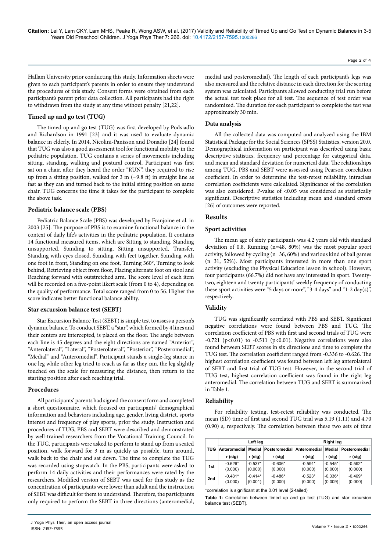**Citation:** Lei Y, Lam CKY, Lam MHS, Peake R, Wong ASW, et al. (2017) Validity and Reliability of Timed Up and Go Test on Dynamic Balance in 3-5 Years Old Preschool Children. J Yoga Phys Ther 7: 266. doi: 10.4172/2157-7595.1000266

Hallam University prior conducting this study. Information sheets were given to each participant's parents in order to ensure they understand the procedures of this study. Consent forms were obtained from each participant's parent prior data collection. All participants had the right to withdrawn from the study at any time without penalty [21,22].

### **Timed up and go test (TUG)**

The timed up and go test (TUG) was first developed by Podsiadlo and Richardson in 1991 [23] and it was used to evaluate dynamic balance in elderly. In 2014, Nicolini-Panisson and Donadio [24] found that TUG was also a good assessment tool for functional mobility in the pediatric population. TUG contains a series of movements including sitting, standing, walking and postural control. Participant was first sat on a chair, after they heard the order "RUN'', they required to rise up from a sitting position, walked for 3 m ( $\approx$ 9.8 ft) in straight line as fast as they can and turned back to the initial sitting position on same chair. TUG concerns the time it takes for the participant to complete the above task.

### **Pediatric balance scale (PBS)**

Pediatric Balance Scale (PBS) was developed by Franjoine et al. in 2003 [25]. The purpose of PBS is to examine functional balance in the context of daily life's activities in the pediatric population. It contains 14 functional measured items, which are Sitting to standing, Standing unsupported, Standing to sitting, Sitting unsupported, Transfer, Standing with eyes closed, Standing with feet together, Standing with one foot in front, Standing on one foot, Turning 360°, Turning to look behind, Retrieving object from floor, Placing alternate foot on stool and Reaching forward with outstretched arm. The score level of each item will be recorded on a five-point likert scale (from 0 to 4), depending on the quality of performance. Total score ranged from 0 to 56. Higher the score indicates better functional balance ability.

#### **Star excursion balance test (SEBT)**

Star Excursion Balance Test (SEBT) is simple test to assess a person's dynamic balance. To conduct SEBT, a "star", which formed by 4 lines and their centers are intercepted, is placed on the floor. The angle between each line is 45 degrees and the eight directions are named "Anterior", "Anterolateral", "Lateral", "Posterolateral", "Posterior", "Posteromedial", "Medial" and "Anteromedial". Participant stands a single-leg stance in one leg while other leg tried to reach as far as they can, the leg slightly touched on the scale for measuring the distance, then return to the starting position after each reaching trial.

#### **Procedures**

All participants' parents had signed the consent form and completed a short questionnaire, which focused on participants' demographical information and behaviors including age, gender, living district, sports interest and frequency of play sports, prior the study. Instruction and procedures of TUG, PBS and SEBT were described and demonstrated by well-trained researchers from the Vocational Training Council. In the TUG, participants were asked to perform to stand up from a seated position, walk forward for 3 m as quickly as possible, turn around, walk back to the chair and sat down. The time to complete the TUG was recorded using stopwatch. In the PBS, participants were asked to perform 14 daily activities and their performances were rated by the researchers. Modified version of SEBT was used for this study as the concentration of participants were lower than adult and the instruction of SEBT was difficult for them to understand. Therefore, the participants only required to perform the SEBT in three directions (anteromedial,

medial and posteromedial). The length of each participant's legs was also measured and the relative distance in each direction for the scoring system was calculated. Participants allowed conducting trial run before the actual test took place for all test. The sequence of test order was randomized. The duration for each participant to complete the test was approximately 30 min.

#### **Data analysis**

All the collected data was computed and analyzed using the IBM Statistical Package for the Social Sciences (SPSS) Statistics, version 20.0. Demographical information on participant was described using basic descriptive statistics, frequency and percentage for categorical data, and mean and standard deviation for numerical data. The relationships among TUG, PBS and SEBT were assessed using Pearson correlation coefficient. In order to determine the test-retest reliability, intraclass correlation coefficients were calculated. Significance of the correlation was also considered. P-value of <0.05 was considered as statistically significant. Descriptive statistics including mean and standard errors [26] of outcomes were reported.

#### **Results**

#### **Sport activities**

The mean age of sixty participants was 4.2 years old with standard deviation of 0.8. Running (n=48, 80%) was the most popular sport activity, followed by cycling (n=36, 60%) and various kind of ball games (n=31, 52%). Most participants interested in more than one sport activity (excluding the Physical Education lesson in school). However, four participants (66.7%) did not have any interested in sport. Twentytwo, eighteen and twenty participants' weekly frequency of conducting these sport activities were "5 days or more", "3-4 days" and "1-2 day(s)", respectively.

#### **Validity**

TUG was significantly correlated with PBS and SEBT. Significant negative correlations were found between PBS and TUG. The correlation coefficient of PBS with first and second trials of TUG were  $-0.721$  (p<0.01) to  $-0.511$  (p<0.01). Negative correlations were also found between SEBT scores in six directions and time to complete the TUG test. The correlation coefficient ranged from -0.336 to -0.626. The highest correlation coefficient was found between left leg anterolateral of SEBT and first trial of TUG test. However, in the second trial of TUG test, highest correlation coefficient was found in the right leg anteromedial. The correlation between TUG and SEBT is summarized in Table 1.

#### **Reliability**

For reliability testing, test-retest reliability was conducted. The mean (SD) time of first and second TUG trial was 5.19 (1.11) and 4.70 (0.90) s, respectively. The correlation between these two sets of time

|            | Left leg     |           |                      | <b>Right leg</b> |           |               |
|------------|--------------|-----------|----------------------|------------------|-----------|---------------|
| <b>TUG</b> | Anteromedial | Medial    | <b>Posteromedial</b> | Anteromedial     | Medial    | Posteromedial |
|            | r (sig)      | r (sig)   | r (sig)              | r (sig)          | r (sig)   | r (sig)       |
| 1st        | $-0.626*$    | $-0.537*$ | $-0.606*$            | $-0.594*$        | $-0.545*$ | $-0.592*$     |
|            | (0.000)      | (0.000)   | (0.000)              | (0.000)          | (0.000)   | (0.000)       |
| 2nd        | $-0.481*$    | $-0.414*$ | $-0.486*$            | $-0.523*$        | $-0.336*$ | $-0.469*$     |
|            | (0.000)      | (0.001)   | (0.000)              | (0.000)          | (0.009)   | (0.000)       |

\*correlation is significant at the 0.01 level (2-tailed)

**Table 1:** Correlation between timed up and go test (TUG) and star excursion balance test (SEBT).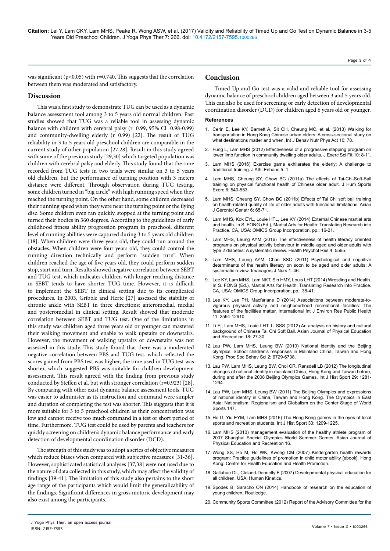**Citation:** Lei Y, Lam CKY, Lam MHS, Peake R, Wong ASW, et al. (2017) Validity and Reliability of Timed Up and Go Test on Dynamic Balance in 3-5 Years Old Preschool Children. J Yoga Phys Ther 7: 266. doi: 10.4172/2157-7595.1000266

Page 3 of 4

was significant ( $p<0.05$ ) with r=0.740. This suggests that the correlation between them was moderated and satisfactory.

# **Discussion**

This was a first study to demonstrate TUG can be used as a dynamic balance assessment tool among 3 to 5 years old normal children. Past studies showed that TUG was a reliable tool in assessing dynamic balance with children with cerebral palsy (r=0.99, 95% CI=0.98-0.99) and community-dwelling elderly (r=0.99) [22]. The result of TUG reliability in 3 to 5 years old preschool children are comparable in the current study of other population [27,28]. Result in this study agreed with some of the previous study [29,30] which targeted population was children with cerebral palsy and elderly. This study found that the time recorded from TUG tests in two trials were similar on 3 to 5 years old children, but the performance of turning position with 3 meters distance were different. Through observation during TUG testing, some children turned in "big circle" with high running speed when they reached the turning point. On the other hand, some children decreased their running speed when they were near the turning point or the flying disc. Some children even ran quickly, stopped at the turning point and turned their bodies in 360 degrees. According to the guidelines of early childhood fitness ability progression program in preschool, different level of running abilities were captured during 3 to 5 years old children [18]. When children were three years old, they could run around the obstacles. When children were four years old, they could control the running direction technically and perform "sudden turn". When children reached the age of five years old, they could perform sudden stop, start and turn. Results showed negative correlation between SEBT and TUG test, which indicates children with longer reaching distance in SEBT tends to have shorter TUG time. However, it is difficult to implement the SEBT in clinical setting due to its complicated procedures. In 2003, Gribble and Herte [27] assessed the stability of chronic ankle with SEBT in three directions: anteromedial, medial and posteromedial in clinical setting. Result showed that moderate correlation between SEBT and TUG test. One of the limitations in this study was children aged three years old or younger can mastered their walking movement and enable to walk upstairs or downstairs. However, the movement of walking upstairs or downstairs was not assessed in this study. This study found that there was a moderated negative correlation between PBS and TUG test, which reflected the scores gained from PBS test was higher, the time used in TUG test was shorter, which suggested PBS was suitable for children development assessment. This result agreed with the finding from previous study conducted by Steffen et al. but with stronger correlation (r=0.923) [28]. By comparing with other exist dynamic balance assessment tools, TUG was easier to administer as its instruction and command were simpler and duration of completing the test was shorter. This suggests that it is more suitable for 3 to 5 preschool children as their concentration was low and cannot receive too much command in a test or short period of time. Furthermore, TUG test could be used by parents and teachers for quickly screening on children's dynamic balance performance and early detection of developmental coordination disorder (DCD).

The strength of this study was to adopt a series of objective measures which reduce biases when compared with subjective measures [31-36]. However, sophisticated statistical analyses [37,38] were not used due to the nature of data collected in this study, which may affect the validity of findings [39-41]. The limitation of this study also pertains to the short age range of the participants which would limit the generalizability of the findings. Significant differences in gross motoric development may also exist among the participants.

# **Conclusion**

Timed Up and Go test was a valid and reliable tool for assessing dynamic balance of preschool children aged between 3 and 5 years old. This can also be used for screening or early detection of developmental coordination disorder (DCD) for children aged 6 years old or younger.

#### **References**

- 1. [Cerin E, Lee KY, Barnett A, Sit CH, Cheung MC, et al. \(2013\) Walking for](http://dx.doi.org/10.1186/1479-5868-10-78)  [transportation in Hong Kong Chinese urban elders: A cross-sectional study on](http://dx.doi.org/10.1186/1479-5868-10-78)  [what destinations matter and when. Int J Behav Nutr Phys Act 10: 78.](http://dx.doi.org/10.1186/1479-5868-10-78)
- 2. [Fung L, Lam MHS \(2012\) Effectiveness of a progressive stepping program on](http://dx.doi.org/10.1016/j.jesf.2012.04.002)  [lower limb function in community dwelling older adults. J Exerc Sci Fit 10: 8-11.](http://dx.doi.org/10.1016/j.jesf.2012.04.002)
- 3. [Lam MHS \(2016\) Exercise game exhilarates the elderly: A challenge to](http://dx.doi.org/10.4172/2324-9080.1000e109)  [traditional training. J Athl Enhanc 5: 1.](http://dx.doi.org/10.4172/2324-9080.1000e109)
- 4. [Lam MHS, Cheung SY, Chow BC \(2011a\) The effects of Tai-Chi-Soft-Ball](https://doi.org/10.4100/jhse.2011.63.08)  [training on physical functional health of Chinese older adult. J Hum Sports](https://doi.org/10.4100/jhse.2011.63.08)  [Exerc 6: 540-553.](https://doi.org/10.4100/jhse.2011.63.08)
- 5. [Lam MHS, Cheung SY, Chow BC \(2011b\) Effects of Tai Chi soft ball training](https://www.researchgate.net/publication/253240061_Effects_of_Tai_Chi_soft_ball_training_on_health-related_quality_of_life_of_older_adults_with_functional_limitations)  [on health-related quality of life of older adults with functional limitations. Asian](https://www.researchgate.net/publication/253240061_Effects_of_Tai_Chi_soft_ball_training_on_health-related_quality_of_life_of_older_adults_with_functional_limitations)  [J Gerontol Geriatr 6: 65-71.](https://www.researchgate.net/publication/253240061_Effects_of_Tai_Chi_soft_ball_training_on_health-related_quality_of_life_of_older_adults_with_functional_limitations)
- 6. [Lam MHS, Kok EYL, Louie HTL, Lee KY \(2014\) External Chinese martial arts](https://www.esciencecentral.org/ebooks/martial-arts-for-health/pdf/external-style.pdf)  [and health. In S. FONG \(Ed.\), Martial Arts for Health: Translating Research into](https://www.esciencecentral.org/ebooks/martial-arts-for-health/pdf/external-style.pdf)  [Practice. CA, USA: OMICS Group Incorporation, pp.: 16-21.](https://www.esciencecentral.org/ebooks/martial-arts-for-health/pdf/external-style.pdf)
- 7. [Lam MHS, Leung AYM \(2016\) The effectiveness of health literacy oriented](http://dx.doi.org/10.4081/hpr.2016.5595)  [programs on physical activity behaviour in middle aged and older adults with](http://dx.doi.org/10.4081/hpr.2016.5595)  [type 2 diabetes: A systematic review. Health Psychol Res 4: 5595.](http://dx.doi.org/10.4081/hpr.2016.5595)
- 8. Lam MHS, Leung AYM, Chan SSC (2011) Psychological and cognitive determinants of the health literacy on soon to be aged and older adults: A systematic review. Imanagers J Nurs 1: 46.
- 9. [Lee KY, Lam MHS, Lam NKT, Sin HMY, Louis LHT \(2014\) Wrestling and Health.](https://www.esciencecentral.org/ebooks/martial-arts-for-health/pdf/martial-arts-for-health.pdf)  In S. FONG (Ed.), Martial Arts for Health: Translating Research into Practice. [CA, USA: OMICS Group Incorporation, pp.: 38-41.](https://www.esciencecentral.org/ebooks/martial-arts-for-health/pdf/martial-arts-for-health.pdf)
- 10. [Lee KY, Lee PH, Macfarlane D \(2014\) Associations between moderate-to](http://www.mdpi.com/1660-4601/11/12/12594/pdf)[vigorous physical activity and neighbourhood recreational facilities: The](http://www.mdpi.com/1660-4601/11/12/12594/pdf)  [features of the facilities matter. International Int J Environ Res Public Health](http://www.mdpi.com/1660-4601/11/12/12594/pdf)  [11: 2594-12610.](http://www.mdpi.com/1660-4601/11/12/12594/pdf)
- 11. [Li Ej, Lam MHS, Louie LHT, Li SSS \(2012\) An analysis on history and cultural](https://www.researchgate.net/publication/315893478_An_Analysis_on_History_and_Cultural_Background_of_Chinese_Tai_Chi_Soft_Ball)  [background of Chinese Tai Chi Soft Ball. Asian Journal of Physical Education](https://www.researchgate.net/publication/315893478_An_Analysis_on_History_and_Cultural_Background_of_Chinese_Tai_Chi_Soft_Ball)  [and Recreation 18: 27-30.](https://www.researchgate.net/publication/315893478_An_Analysis_on_History_and_Cultural_Background_of_Chinese_Tai_Chi_Soft_Ball)
- 12. [Lau PW, Lam MHS, Leung BW \(2010\) National identity and the Beijing](https://doi.org/10.1016/j.sbspro.2010.05.019)  [olympics: School children's responses in Mainland China, Taiwan and Hong](https://doi.org/10.1016/j.sbspro.2010.05.019)  [Kong. Proc Soc Behav Sci 2: 6729-6738.](https://doi.org/10.1016/j.sbspro.2010.05.019)
- 13. [Lau PW, Lam MHS, Leung BW, Choi CR, Ransdell LB \(2012\) The longitudinal](http://dx.doi.org/10.1080/09523367.2012.692248)  [changes of national identity in mainland China, Hong Kong and Taiwan before,](http://dx.doi.org/10.1080/09523367.2012.692248)  [during and after the 2008 Beijing Olympics Games. Int J Hist Sport 29: 1281-](http://dx.doi.org/10.1080/09523367.2012.692248) [1294.](http://dx.doi.org/10.1080/09523367.2012.692248)
- 14. [Lau PW, Lam MHS, Leung BW \(2011\) The Beijing Olympics and expressions](https://www.researchgate.net/publication/253240151_The_Beijing_Olympics_and_expressions_of_national_identity_in_China_Taiwan_and_Hong_Kong)  [of national identity in China, Taiwan and Hong Kong. The Olympics in East](https://www.researchgate.net/publication/253240151_The_Beijing_Olympics_and_expressions_of_national_identity_in_China_Taiwan_and_Hong_Kong)  [Asia: Nationalism, Regionalism and Globalism on the Center Stage of World](https://www.researchgate.net/publication/253240151_The_Beijing_Olympics_and_expressions_of_national_identity_in_China_Taiwan_and_Hong_Kong)  [Sports 147.](https://www.researchgate.net/publication/253240151_The_Beijing_Olympics_and_expressions_of_national_identity_in_China_Taiwan_and_Hong_Kong)
- 15. [Ho G, Yiu EYM, Lam MHS \(2016\) The Hong Kong games in the eyes of local](http://dx.doi.org/10.1080/09523367.2016.1266342)  [sports and recreation students. Int J Hist Sport 33: 1209-1225.](http://dx.doi.org/10.1080/09523367.2016.1266342)
- 16. Lam MHS (2010) management evaluation of the healthy athlete program of 2007 Shanghai Special Olympics World Summer Games. Asian Journal of Physical Education and Recreation 16.
- 17. Wong SS, Ho M, Ho WK, Kwong CM (2007) Kindergarten health rewards program: Practice guidelines of promotion in child motor ability [ebook]. Hong Kong: Centre for Health Education and Health Promotion.
- 18. [Gallahue DL, Cleland-Donnelly F \(2007\) Developmental physical education for](http://www.humankinetics.com/products/all-products/developmental-physical-education-for-all-children-5th-edition-ebook-with-web-resource)  [all children. USA: Human Kinetics.](http://www.humankinetics.com/products/all-products/developmental-physical-education-for-all-children-5th-edition-ebook-with-web-resource)
- 19. [Spodek B, Saracho ON \(2014\) Handbook of research on the education of](http://corp.credoreference.com/component/booktracker/edition/7941.html)  [young children, Routledge.](http://corp.credoreference.com/component/booktracker/edition/7941.html)
- 20. [Community Sports Committee \(2012\) Report of the Advisory Committee for the](http://www.censtatd.gov.hk/hkstat/sub/sp380.jsp?productCode=FA100265)